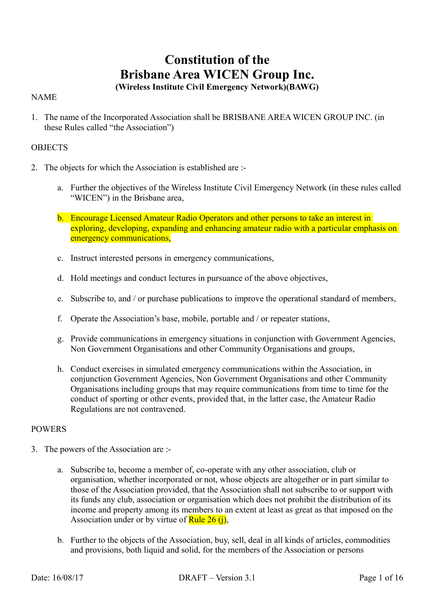# **Constitution of the Brisbane Area WICEN Group Inc.**

# **(Wireless Institute Civil Emergency Network)(BAWG)**

# NAME

1. The name of the Incorporated Association shall be BRISBANE AREA WICEN GROUP INC. (in these Rules called "the Association")

# **OBJECTS**

- 2. The objects for which the Association is established are :
	- a. Further the objectives of the Wireless Institute Civil Emergency Network (in these rules called "WICEN") in the Brisbane area,
	- b. Encourage Licensed Amateur Radio Operators and other persons to take an interest in exploring, developing, expanding and enhancing amateur radio with a particular emphasis on emergency communications,
	- c. Instruct interested persons in emergency communications,
	- d. Hold meetings and conduct lectures in pursuance of the above objectives,
	- e. Subscribe to, and / or purchase publications to improve the operational standard of members,
	- f. Operate the Association's base, mobile, portable and / or repeater stations,
	- g. Provide communications in emergency situations in conjunction with Government Agencies, Non Government Organisations and other Community Organisations and groups,
	- h. Conduct exercises in simulated emergency communications within the Association, in conjunction Government Agencies, Non Government Organisations and other Community Organisations including groups that may require communications from time to time for the conduct of sporting or other events, provided that, in the latter case, the Amateur Radio Regulations are not contravened.

# POWERS

- 3. The powers of the Association are :
	- a. Subscribe to, become a member of, co-operate with any other association, club or organisation, whether incorporated or not, whose objects are altogether or in part similar to those of the Association provided, that the Association shall not subscribe to or support with its funds any club, association or organisation which does not prohibit the distribution of its income and property among its members to an extent at least as great as that imposed on the Association under or by virtue of Rule  $26$  (j),
	- b. Further to the objects of the Association, buy, sell, deal in all kinds of articles, commodities and provisions, both liquid and solid, for the members of the Association or persons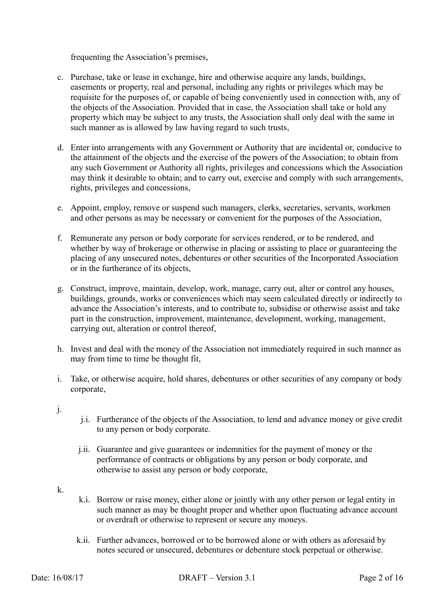frequenting the Association's premises,

- c. Purchase, take or lease in exchange, hire and otherwise acquire any lands, buildings, easements or property, real and personal, including any rights or privileges which may be requisite for the purposes of, or capable of being conveniently used in connection with, any of the objects of the Association. Provided that in case, the Association shall take or hold any property which may be subject to any trusts, the Association shall only deal with the same in such manner as is allowed by law having regard to such trusts,
- d. Enter into arrangements with any Government or Authority that are incidental or, conducive to the attainment of the objects and the exercise of the powers of the Association; to obtain from any such Government or Authority all rights, privileges and concessions which the Association may think it desirable to obtain; and to carry out, exercise and comply with such arrangements, rights, privileges and concessions,
- e. Appoint, employ, remove or suspend such managers, clerks, secretaries, servants, workmen and other persons as may be necessary or convenient for the purposes of the Association,
- f. Remunerate any person or body corporate for services rendered, or to be rendered, and whether by way of brokerage or otherwise in placing or assisting to place or guaranteeing the placing of any unsecured notes, debentures or other securities of the Incorporated Association or in the furtherance of its objects,
- g. Construct, improve, maintain, develop, work, manage, carry out, alter or control any houses, buildings, grounds, works or conveniences which may seem calculated directly or indirectly to advance the Association's interests, and to contribute to, subsidise or otherwise assist and take part in the construction, improvement, maintenance, development, working, management, carrying out, alteration or control thereof,
- h. Invest and deal with the money of the Association not immediately required in such manner as may from time to time be thought fit,
- i. Take, or otherwise acquire, hold shares, debentures or other securities of any company or body corporate,
- j.
- j.i. Furtherance of the objects of the Association, to lend and advance money or give credit to any person or body corporate.
- j.ii. Guarantee and give guarantees or indemnities for the payment of money or the performance of contracts or obligations by any person or body corporate, and otherwise to assist any person or body corporate,
- k.
- k.i. Borrow or raise money, either alone or jointly with any other person or legal entity in such manner as may be thought proper and whether upon fluctuating advance account or overdraft or otherwise to represent or secure any moneys.
- k.ii. Further advances, borrowed or to be borrowed alone or with others as aforesaid by notes secured or unsecured, debentures or debenture stock perpetual or otherwise.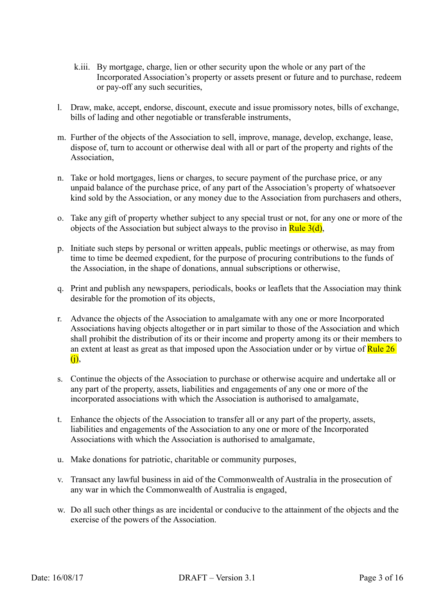- k.iii. By mortgage, charge, lien or other security upon the whole or any part of the Incorporated Association's property or assets present or future and to purchase, redeem or pay-off any such securities,
- l. Draw, make, accept, endorse, discount, execute and issue promissory notes, bills of exchange, bills of lading and other negotiable or transferable instruments,
- m. Further of the objects of the Association to sell, improve, manage, develop, exchange, lease, dispose of, turn to account or otherwise deal with all or part of the property and rights of the **Association**
- n. Take or hold mortgages, liens or charges, to secure payment of the purchase price, or any unpaid balance of the purchase price, of any part of the Association's property of whatsoever kind sold by the Association, or any money due to the Association from purchasers and others,
- o. Take any gift of property whether subject to any special trust or not, for any one or more of the objects of the Association but subject always to the proviso in Rule  $3(d)$ ,
- p. Initiate such steps by personal or written appeals, public meetings or otherwise, as may from time to time be deemed expedient, for the purpose of procuring contributions to the funds of the Association, in the shape of donations, annual subscriptions or otherwise,
- q. Print and publish any newspapers, periodicals, books or leaflets that the Association may think desirable for the promotion of its objects,
- r. Advance the objects of the Association to amalgamate with any one or more Incorporated Associations having objects altogether or in part similar to those of the Association and which shall prohibit the distribution of its or their income and property among its or their members to an extent at least as great as that imposed upon the Association under or by virtue of Rule 26 (j),
- s. Continue the objects of the Association to purchase or otherwise acquire and undertake all or any part of the property, assets, liabilities and engagements of any one or more of the incorporated associations with which the Association is authorised to amalgamate,
- t. Enhance the objects of the Association to transfer all or any part of the property, assets, liabilities and engagements of the Association to any one or more of the Incorporated Associations with which the Association is authorised to amalgamate,
- u. Make donations for patriotic, charitable or community purposes,
- v. Transact any lawful business in aid of the Commonwealth of Australia in the prosecution of any war in which the Commonwealth of Australia is engaged,
- w. Do all such other things as are incidental or conducive to the attainment of the objects and the exercise of the powers of the Association.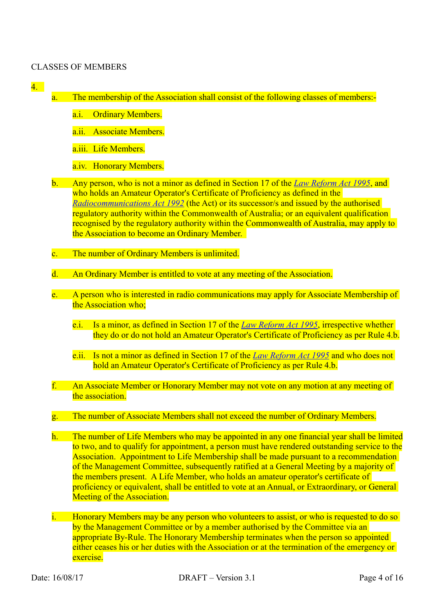## CLASSES OF MEMBERS

- 4.
- a. The membership of the Association shall consist of the following classes of members:
	- a.i. Ordinary Members.
	- a.ii. Associate Members.
	- a.iii. Life Members.
	- a.iv. Honorary Members.
- b. Any person, who is not a minor as defined in Section 17 of the *[Law Reform Act 1995](https://www.legislation.qld.gov.au/LEGISLTN/CURRENT/L/LawReformA95.pdf)*, and who holds an Amateur Operator's Certificate of Proficiency as defined in the *[Radiocommunications Act 1992](http://www.comlaw.gov.au/Details/C2011C00072)* (the Act) or its successor/s and issued by the authorised regulatory authority within the Commonwealth of Australia; or an equivalent qualification recognised by the regulatory authority within the Commonwealth of Australia, may apply to the Association to become an Ordinary Member.
- c. The number of Ordinary Members is unlimited.
- d. An Ordinary Member is entitled to vote at any meeting of the Association.
- e. A person who is interested in radio communications may apply for Associate Membership of the Association who;
	- e.i. Is a minor, as defined in Section 17 of the *[Law Reform Act 1995](https://www.legislation.qld.gov.au/LEGISLTN/CURRENT/L/LawReformA95.pdf)*, irrespective whether they do or do not hold an Amateur Operator's Certificate of Proficiency as per Rule 4.b.
	- e.ii. Is not a minor as defined in Section 17 of the *[Law Reform Act 1995](https://www.legislation.qld.gov.au/LEGISLTN/CURRENT/L/LawReformA95.pdf)* and who does not hold an Amateur Operator's Certificate of Proficiency as per Rule 4.b.
- f. An Associate Member or Honorary Member may not vote on any motion at any meeting of the association.
- g. The number of Associate Members shall not exceed the number of Ordinary Members.
- h. The number of Life Members who may be appointed in any one financial year shall be limited to two, and to qualify for appointment, a person must have rendered outstanding service to the Association. Appointment to Life Membership shall be made pursuant to a recommendation of the Management Committee, subsequently ratified at a General Meeting by a majority of the members present. A Life Member, who holds an amateur operator's certificate of proficiency or equivalent, shall be entitled to vote at an Annual, or Extraordinary, or General Meeting of the Association.
- i. Honorary Members may be any person who volunteers to assist, or who is requested to do so by the Management Committee or by a member authorised by the Committee via an appropriate By-Rule. The Honorary Membership terminates when the person so appointed either ceases his or her duties with the Association or at the termination of the emergency or exercise.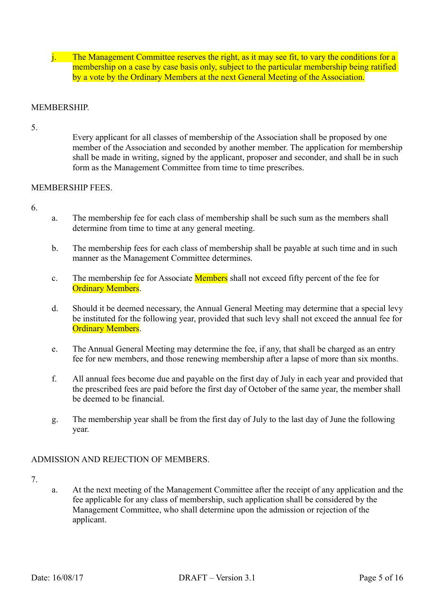j. The Management Committee reserves the right, as it may see fit, to vary the conditions for a membership on a case by case basis only, subject to the particular membership being ratified by a vote by the Ordinary Members at the next General Meeting of the Association.

## **MEMBERSHIP**

5.

Every applicant for all classes of membership of the Association shall be proposed by one member of the Association and seconded by another member. The application for membership shall be made in writing, signed by the applicant, proposer and seconder, and shall be in such form as the Management Committee from time to time prescribes.

# MEMBERSHIP FEES.

- 6.
- a. The membership fee for each class of membership shall be such sum as the members shall determine from time to time at any general meeting.
- b. The membership fees for each class of membership shall be payable at such time and in such manner as the Management Committee determines.
- c. The membership fee for Associate Members shall not exceed fifty percent of the fee for **Ordinary Members.**
- d. Should it be deemed necessary, the Annual General Meeting may determine that a special levy be instituted for the following year, provided that such levy shall not exceed the annual fee for **Ordinary Members.**
- e. The Annual General Meeting may determine the fee, if any, that shall be charged as an entry fee for new members, and those renewing membership after a lapse of more than six months.
- f. All annual fees become due and payable on the first day of July in each year and provided that the prescribed fees are paid before the first day of October of the same year, the member shall be deemed to be financial.
- g. The membership year shall be from the first day of July to the last day of June the following year.

# ADMISSION AND REJECTION OF MEMBERS.

- 7.
- a. At the next meeting of the Management Committee after the receipt of any application and the fee applicable for any class of membership, such application shall be considered by the Management Committee, who shall determine upon the admission or rejection of the applicant.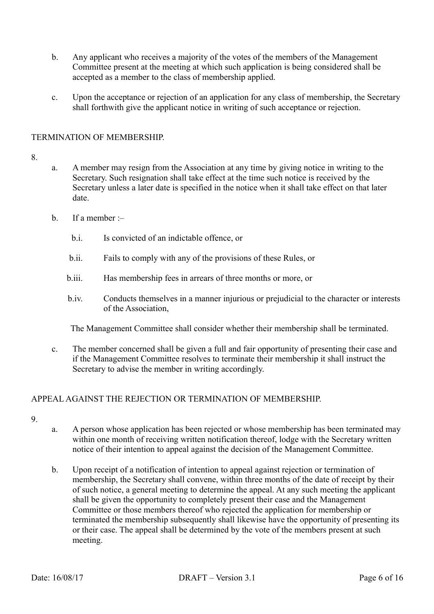- b. Any applicant who receives a majority of the votes of the members of the Management Committee present at the meeting at which such application is being considered shall be accepted as a member to the class of membership applied.
- c. Upon the acceptance or rejection of an application for any class of membership, the Secretary shall forthwith give the applicant notice in writing of such acceptance or rejection.

# TERMINATION OF MEMBERSHIP.

## 8.

- a. A member may resign from the Association at any time by giving notice in writing to the Secretary. Such resignation shall take effect at the time such notice is received by the Secretary unless a later date is specified in the notice when it shall take effect on that later date.
- b. If a member :–
	- b.i. Is convicted of an indictable offence, or
	- b.ii. Fails to comply with any of the provisions of these Rules, or
	- b.iii. Has membership fees in arrears of three months or more, or
	- b.iv. Conducts themselves in a manner injurious or prejudicial to the character or interests of the Association,

The Management Committee shall consider whether their membership shall be terminated.

c. The member concerned shall be given a full and fair opportunity of presenting their case and if the Management Committee resolves to terminate their membership it shall instruct the Secretary to advise the member in writing accordingly.

# APPEAL AGAINST THE REJECTION OR TERMINATION OF MEMBERSHIP.

- 9.
- a. A person whose application has been rejected or whose membership has been terminated may within one month of receiving written notification thereof, lodge with the Secretary written notice of their intention to appeal against the decision of the Management Committee.
- b. Upon receipt of a notification of intention to appeal against rejection or termination of membership, the Secretary shall convene, within three months of the date of receipt by their of such notice, a general meeting to determine the appeal. At any such meeting the applicant shall be given the opportunity to completely present their case and the Management Committee or those members thereof who rejected the application for membership or terminated the membership subsequently shall likewise have the opportunity of presenting its or their case. The appeal shall be determined by the vote of the members present at such meeting.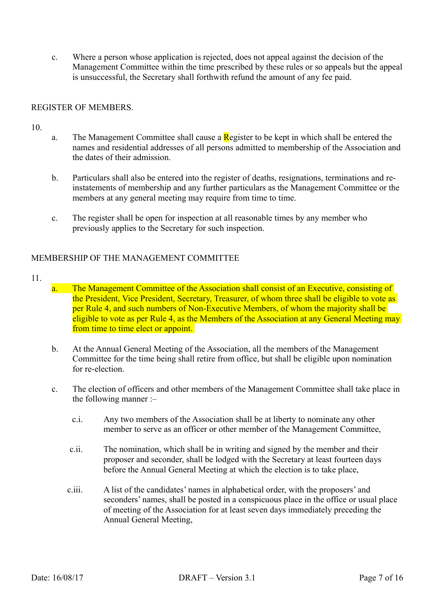c. Where a person whose application is rejected, does not appeal against the decision of the Management Committee within the time prescribed by these rules or so appeals but the appeal is unsuccessful, the Secretary shall forthwith refund the amount of any fee paid.

## REGISTER OF MEMBERS.

10.

- a. The Management Committee shall cause a Register to be kept in which shall be entered the names and residential addresses of all persons admitted to membership of the Association and the dates of their admission.
- b. Particulars shall also be entered into the register of deaths, resignations, terminations and reinstatements of membership and any further particulars as the Management Committee or the members at any general meeting may require from time to time.
- c. The register shall be open for inspection at all reasonable times by any member who previously applies to the Secretary for such inspection.

## MEMBERSHIP OF THE MANAGEMENT COMMITTEE

- 11.
- a. The Management Committee of the Association shall consist of an Executive, consisting of the President, Vice President, Secretary, Treasurer, of whom three shall be eligible to vote as per Rule 4, and such numbers of Non-Executive Members, of whom the majority shall be eligible to vote as per Rule 4, as the Members of the Association at any General Meeting may from time to time elect or appoint.
- b. At the Annual General Meeting of the Association, all the members of the Management Committee for the time being shall retire from office, but shall be eligible upon nomination for re-election.
- c. The election of officers and other members of the Management Committee shall take place in the following manner :–
	- c.i. Any two members of the Association shall be at liberty to nominate any other member to serve as an officer or other member of the Management Committee,
	- c.ii. The nomination, which shall be in writing and signed by the member and their proposer and seconder, shall be lodged with the Secretary at least fourteen days before the Annual General Meeting at which the election is to take place,
	- c.iii. A list of the candidates' names in alphabetical order, with the proposers' and seconders' names, shall be posted in a conspicuous place in the office or usual place of meeting of the Association for at least seven days immediately preceding the Annual General Meeting,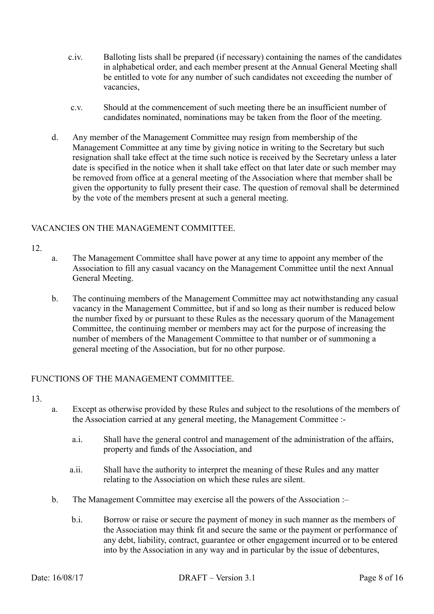- c.iv. Balloting lists shall be prepared (if necessary) containing the names of the candidates in alphabetical order, and each member present at the Annual General Meeting shall be entitled to vote for any number of such candidates not exceeding the number of vacancies,
- c.v. Should at the commencement of such meeting there be an insufficient number of candidates nominated, nominations may be taken from the floor of the meeting.
- d. Any member of the Management Committee may resign from membership of the Management Committee at any time by giving notice in writing to the Secretary but such resignation shall take effect at the time such notice is received by the Secretary unless a later date is specified in the notice when it shall take effect on that later date or such member may be removed from office at a general meeting of the Association where that member shall be given the opportunity to fully present their case. The question of removal shall be determined by the vote of the members present at such a general meeting.

# VACANCIES ON THE MANAGEMENT COMMITTEE.

- 12.
- a. The Management Committee shall have power at any time to appoint any member of the Association to fill any casual vacancy on the Management Committee until the next Annual General Meeting.
- b. The continuing members of the Management Committee may act notwithstanding any casual vacancy in the Management Committee, but if and so long as their number is reduced below the number fixed by or pursuant to these Rules as the necessary quorum of the Management Committee, the continuing member or members may act for the purpose of increasing the number of members of the Management Committee to that number or of summoning a general meeting of the Association, but for no other purpose.

# FUNCTIONS OF THE MANAGEMENT COMMITTEE.

- 13.
- a. Except as otherwise provided by these Rules and subject to the resolutions of the members of the Association carried at any general meeting, the Management Committee :
	- a.i. Shall have the general control and management of the administration of the affairs, property and funds of the Association, and
	- a.ii. Shall have the authority to interpret the meaning of these Rules and any matter relating to the Association on which these rules are silent.
- b. The Management Committee may exercise all the powers of the Association :
	- b.i. Borrow or raise or secure the payment of money in such manner as the members of the Association may think fit and secure the same or the payment or performance of any debt, liability, contract, guarantee or other engagement incurred or to be entered into by the Association in any way and in particular by the issue of debentures,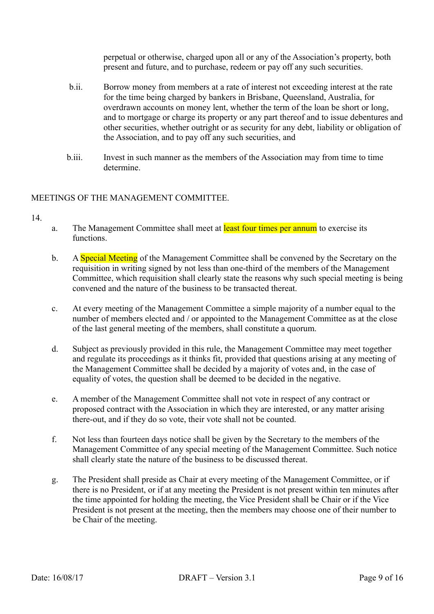perpetual or otherwise, charged upon all or any of the Association's property, both present and future, and to purchase, redeem or pay off any such securities.

- b.ii. Borrow money from members at a rate of interest not exceeding interest at the rate for the time being charged by bankers in Brisbane, Queensland, Australia, for overdrawn accounts on money lent, whether the term of the loan be short or long, and to mortgage or charge its property or any part thereof and to issue debentures and other securities, whether outright or as security for any debt, liability or obligation of the Association, and to pay off any such securities, and
- b.iii. Invest in such manner as the members of the Association may from time to time determine.

# MEETINGS OF THE MANAGEMENT COMMITTEE.

- 14.
- a. The Management Committee shall meet at least four times per annum to exercise its functions.
- b. A Special Meeting of the Management Committee shall be convened by the Secretary on the requisition in writing signed by not less than one-third of the members of the Management Committee, which requisition shall clearly state the reasons why such special meeting is being convened and the nature of the business to be transacted thereat.
- c. At every meeting of the Management Committee a simple majority of a number equal to the number of members elected and / or appointed to the Management Committee as at the close of the last general meeting of the members, shall constitute a quorum.
- d. Subject as previously provided in this rule, the Management Committee may meet together and regulate its proceedings as it thinks fit, provided that questions arising at any meeting of the Management Committee shall be decided by a majority of votes and, in the case of equality of votes, the question shall be deemed to be decided in the negative.
- e. A member of the Management Committee shall not vote in respect of any contract or proposed contract with the Association in which they are interested, or any matter arising there-out, and if they do so vote, their vote shall not be counted.
- f. Not less than fourteen days notice shall be given by the Secretary to the members of the Management Committee of any special meeting of the Management Committee. Such notice shall clearly state the nature of the business to be discussed thereat.
- g. The President shall preside as Chair at every meeting of the Management Committee, or if there is no President, or if at any meeting the President is not present within ten minutes after the time appointed for holding the meeting, the Vice President shall be Chair or if the Vice President is not present at the meeting, then the members may choose one of their number to be Chair of the meeting.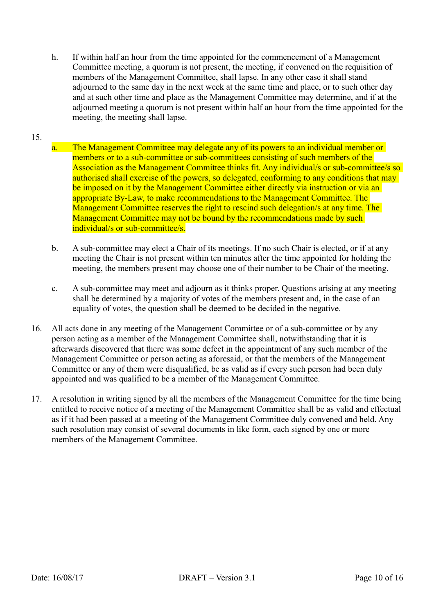h. If within half an hour from the time appointed for the commencement of a Management Committee meeting, a quorum is not present, the meeting, if convened on the requisition of members of the Management Committee, shall lapse. In any other case it shall stand adjourned to the same day in the next week at the same time and place, or to such other day and at such other time and place as the Management Committee may determine, and if at the adjourned meeting a quorum is not present within half an hour from the time appointed for the meeting, the meeting shall lapse.

# 15.

- The Management Committee may delegate any of its powers to an individual member or members or to a sub-committee or sub-committees consisting of such members of the Association as the Management Committee thinks fit. Any individual/s or sub-committee/s so authorised shall exercise of the powers, so delegated, conforming to any conditions that may be imposed on it by the Management Committee either directly via instruction or via an appropriate By-Law, to make recommendations to the Management Committee. The Management Committee reserves the right to rescind such delegation/s at any time. The Management Committee may not be bound by the recommendations made by such individual/s or sub-committee/s.
- b. A sub-committee may elect a Chair of its meetings. If no such Chair is elected, or if at any meeting the Chair is not present within ten minutes after the time appointed for holding the meeting, the members present may choose one of their number to be Chair of the meeting.
- c. A sub-committee may meet and adjourn as it thinks proper. Questions arising at any meeting shall be determined by a majority of votes of the members present and, in the case of an equality of votes, the question shall be deemed to be decided in the negative.
- 16. All acts done in any meeting of the Management Committee or of a sub-committee or by any person acting as a member of the Management Committee shall, notwithstanding that it is afterwards discovered that there was some defect in the appointment of any such member of the Management Committee or person acting as aforesaid, or that the members of the Management Committee or any of them were disqualified, be as valid as if every such person had been duly appointed and was qualified to be a member of the Management Committee.
- 17. A resolution in writing signed by all the members of the Management Committee for the time being entitled to receive notice of a meeting of the Management Committee shall be as valid and effectual as if it had been passed at a meeting of the Management Committee duly convened and held. Any such resolution may consist of several documents in like form, each signed by one or more members of the Management Committee.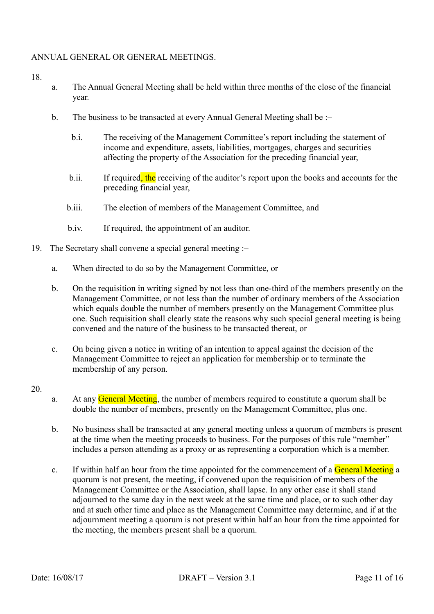# ANNUAL GENERAL OR GENERAL MEETINGS.

#### 18.

- a. The Annual General Meeting shall be held within three months of the close of the financial year.
- b. The business to be transacted at every Annual General Meeting shall be :
	- b.i. The receiving of the Management Committee's report including the statement of income and expenditure, assets, liabilities, mortgages, charges and securities affecting the property of the Association for the preceding financial year,
	- b.ii. If required, the receiving of the auditor's report upon the books and accounts for the preceding financial year,
	- b.iii. The election of members of the Management Committee, and
	- b.iv. If required, the appointment of an auditor.
- 19. The Secretary shall convene a special general meeting :–
	- a. When directed to do so by the Management Committee, or
	- b. On the requisition in writing signed by not less than one-third of the members presently on the Management Committee, or not less than the number of ordinary members of the Association which equals double the number of members presently on the Management Committee plus one. Such requisition shall clearly state the reasons why such special general meeting is being convened and the nature of the business to be transacted thereat, or
	- c. On being given a notice in writing of an intention to appeal against the decision of the Management Committee to reject an application for membership or to terminate the membership of any person.
- 20.
- a. At any General Meeting, the number of members required to constitute a quorum shall be double the number of members, presently on the Management Committee, plus one.
- b. No business shall be transacted at any general meeting unless a quorum of members is present at the time when the meeting proceeds to business. For the purposes of this rule "member" includes a person attending as a proxy or as representing a corporation which is a member.
- c. If within half an hour from the time appointed for the commencement of a General Meeting a quorum is not present, the meeting, if convened upon the requisition of members of the Management Committee or the Association, shall lapse. In any other case it shall stand adjourned to the same day in the next week at the same time and place, or to such other day and at such other time and place as the Management Committee may determine, and if at the adjournment meeting a quorum is not present within half an hour from the time appointed for the meeting, the members present shall be a quorum.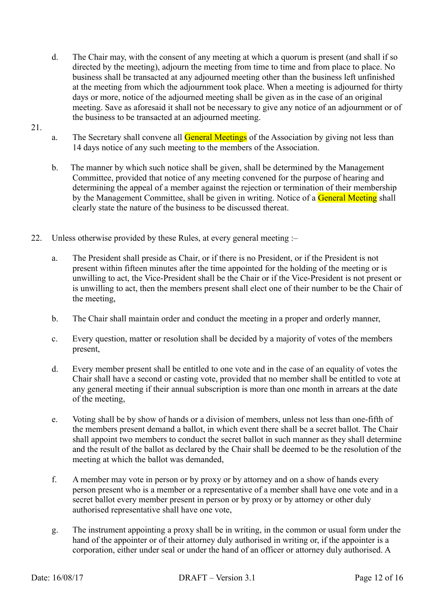- d. The Chair may, with the consent of any meeting at which a quorum is present (and shall if so directed by the meeting), adjourn the meeting from time to time and from place to place. No business shall be transacted at any adjourned meeting other than the business left unfinished at the meeting from which the adjournment took place. When a meeting is adjourned for thirty days or more, notice of the adjourned meeting shall be given as in the case of an original meeting. Save as aforesaid it shall not be necessary to give any notice of an adjournment or of the business to be transacted at an adjourned meeting.
- 21.
- a. The Secretary shall convene all **General Meetings** of the Association by giving not less than 14 days notice of any such meeting to the members of the Association.
- b. The manner by which such notice shall be given, shall be determined by the Management Committee, provided that notice of any meeting convened for the purpose of hearing and determining the appeal of a member against the rejection or termination of their membership by the Management Committee, shall be given in writing. Notice of a General Meeting shall clearly state the nature of the business to be discussed thereat.
- 22. Unless otherwise provided by these Rules, at every general meeting :–
	- a. The President shall preside as Chair, or if there is no President, or if the President is not present within fifteen minutes after the time appointed for the holding of the meeting or is unwilling to act, the Vice-President shall be the Chair or if the Vice-President is not present or is unwilling to act, then the members present shall elect one of their number to be the Chair of the meeting,
	- b. The Chair shall maintain order and conduct the meeting in a proper and orderly manner,
	- c. Every question, matter or resolution shall be decided by a majority of votes of the members present,
	- d. Every member present shall be entitled to one vote and in the case of an equality of votes the Chair shall have a second or casting vote, provided that no member shall be entitled to vote at any general meeting if their annual subscription is more than one month in arrears at the date of the meeting,
	- e. Voting shall be by show of hands or a division of members, unless not less than one-fifth of the members present demand a ballot, in which event there shall be a secret ballot. The Chair shall appoint two members to conduct the secret ballot in such manner as they shall determine and the result of the ballot as declared by the Chair shall be deemed to be the resolution of the meeting at which the ballot was demanded,
	- f. A member may vote in person or by proxy or by attorney and on a show of hands every person present who is a member or a representative of a member shall have one vote and in a secret ballot every member present in person or by proxy or by attorney or other duly authorised representative shall have one vote,
	- g. The instrument appointing a proxy shall be in writing, in the common or usual form under the hand of the appointer or of their attorney duly authorised in writing or, if the appointer is a corporation, either under seal or under the hand of an officer or attorney duly authorised. A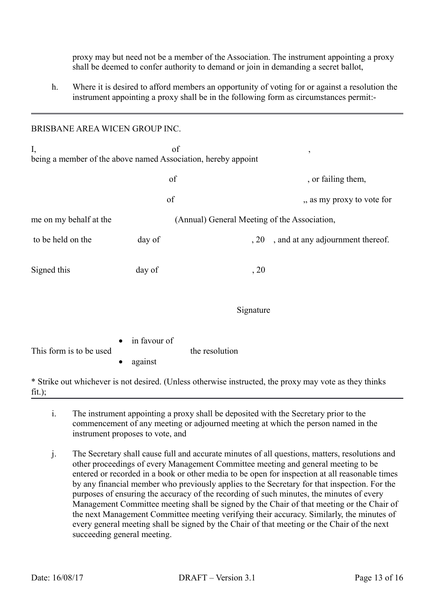proxy may but need not be a member of the Association. The instrument appointing a proxy shall be deemed to confer authority to demand or join in demanding a secret ballot,

h. Where it is desired to afford members an opportunity of voting for or against a resolution the instrument appointing a proxy shall be in the following form as circumstances permit:-

## BRISBANE AREA WICEN GROUP INC.

| I,<br>of<br>$\overline{ }$<br>being a member of the above named Association, hereby appoint |                                              |                |                                   |
|---------------------------------------------------------------------------------------------|----------------------------------------------|----------------|-----------------------------------|
|                                                                                             | of                                           |                | , or failing them,                |
|                                                                                             | of                                           |                | ,, as my proxy to vote for        |
| me on my behalf at the                                                                      | (Annual) General Meeting of the Association, |                |                                   |
| to be held on the                                                                           | day of                                       | , 20           | , and at any adjournment thereof. |
| Signed this                                                                                 | day of                                       | , 20           |                                   |
|                                                                                             |                                              | Signature      |                                   |
| This form is to be used                                                                     | in favour of<br>against                      | the resolution |                                   |

\* Strike out whichever is not desired. (Unless otherwise instructed, the proxy may vote as they thinks  $fit.$ ):

- i. The instrument appointing a proxy shall be deposited with the Secretary prior to the commencement of any meeting or adjourned meeting at which the person named in the instrument proposes to vote, and
- j. The Secretary shall cause full and accurate minutes of all questions, matters, resolutions and other proceedings of every Management Committee meeting and general meeting to be entered or recorded in a book or other media to be open for inspection at all reasonable times by any financial member who previously applies to the Secretary for that inspection. For the purposes of ensuring the accuracy of the recording of such minutes, the minutes of every Management Committee meeting shall be signed by the Chair of that meeting or the Chair of the next Management Committee meeting verifying their accuracy. Similarly, the minutes of every general meeting shall be signed by the Chair of that meeting or the Chair of the next succeeding general meeting.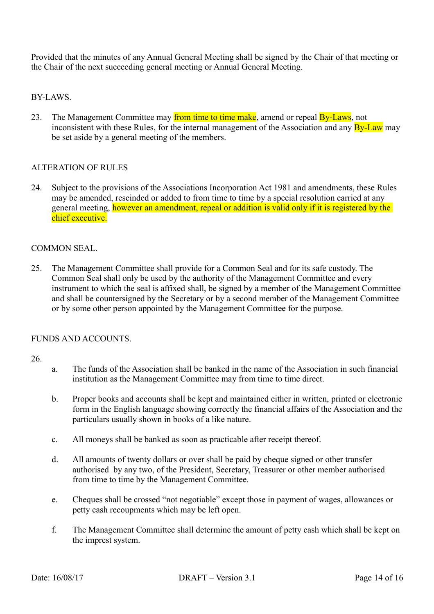Provided that the minutes of any Annual General Meeting shall be signed by the Chair of that meeting or the Chair of the next succeeding general meeting or Annual General Meeting.

BY-LAWS.

23. The Management Committee may from time to time make, amend or repeal By-Laws, not inconsistent with these Rules, for the internal management of the Association and any **By-Law** may be set aside by a general meeting of the members.

## ALTERATION OF RULES

24. Subject to the provisions of the Associations Incorporation Act 1981 and amendments, these Rules may be amended, rescinded or added to from time to time by a special resolution carried at any general meeting, however an amendment, repeal or addition is valid only if it is registered by the chief executive.

## COMMON SEAL.

25. The Management Committee shall provide for a Common Seal and for its safe custody. The Common Seal shall only be used by the authority of the Management Committee and every instrument to which the seal is affixed shall, be signed by a member of the Management Committee and shall be countersigned by the Secretary or by a second member of the Management Committee or by some other person appointed by the Management Committee for the purpose.

#### FUNDS AND ACCOUNTS.

#### 26.

- a. The funds of the Association shall be banked in the name of the Association in such financial institution as the Management Committee may from time to time direct.
- b. Proper books and accounts shall be kept and maintained either in written, printed or electronic form in the English language showing correctly the financial affairs of the Association and the particulars usually shown in books of a like nature.
- c. All moneys shall be banked as soon as practicable after receipt thereof.
- d. All amounts of twenty dollars or over shall be paid by cheque signed or other transfer authorised by any two, of the President, Secretary, Treasurer or other member authorised from time to time by the Management Committee.
- e. Cheques shall be crossed "not negotiable" except those in payment of wages, allowances or petty cash recoupments which may be left open.
- f. The Management Committee shall determine the amount of petty cash which shall be kept on the imprest system.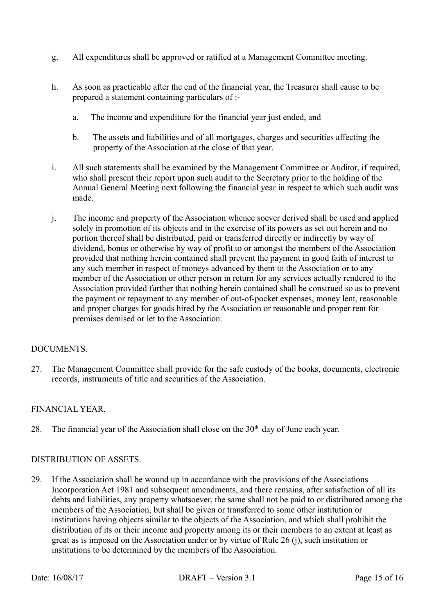- g. All expenditures shall be approved or ratified at a Management Committee meeting.
- h. As soon as practicable after the end of the financial year, the Treasurer shall cause to be prepared a statement containing particulars of :
	- a. The income and expenditure for the financial year just ended, and
	- b. The assets and liabilities and of all mortgages, charges and securities affecting the property of the Association at the close of that year.
- i. All such statements shall be examined by the Management Committee or Auditor, if required, who shall present their report upon such audit to the Secretary prior to the holding of the Annual General Meeting next following the financial year in respect to which such audit was made.
- j. The income and property of the Association whence soever derived shall be used and applied solely in promotion of its objects and in the exercise of its powers as set out herein and no portion thereof shall be distributed, paid or transferred directly or indirectly by way of dividend, bonus or otherwise by way of profit to or amongst the members of the Association provided that nothing herein contained shall prevent the payment in good faith of interest to any such member in respect of moneys advanced by them to the Association or to any member of the Association or other person in return for any services actually rendered to the Association provided further that nothing herein contained shall be construed so as to prevent the payment or repayment to any member of out-of-pocket expenses, money lent, reasonable and proper charges for goods hired by the Association or reasonable and proper rent for premises demised or let to the Association.

# DOCUMENTS

27. The Management Committee shall provide for the safe custody of the books, documents, electronic records, instruments of title and securities of the Association.

# FINANCIAL YEAR.

28. The financial year of the Association shall close on the  $30<sup>th</sup>$  day of June each year.

# DISTRIBUTION OF ASSETS.

29. If the Association shall be wound up in accordance with the provisions of the Associations Incorporation Act 1981 and subsequent amendments, and there remains, after satisfaction of all its debts and liabilities, any property whatsoever, the same shall not be paid to or distributed among the members of the Association, but shall be given or transferred to some other institution or institutions having objects similar to the objects of the Association, and which shall prohibit the distribution of its or their income and property among its or their members to an extent at least as great as is imposed on the Association under or by virtue of Rule 26 (j), such institution or institutions to be determined by the members of the Association.